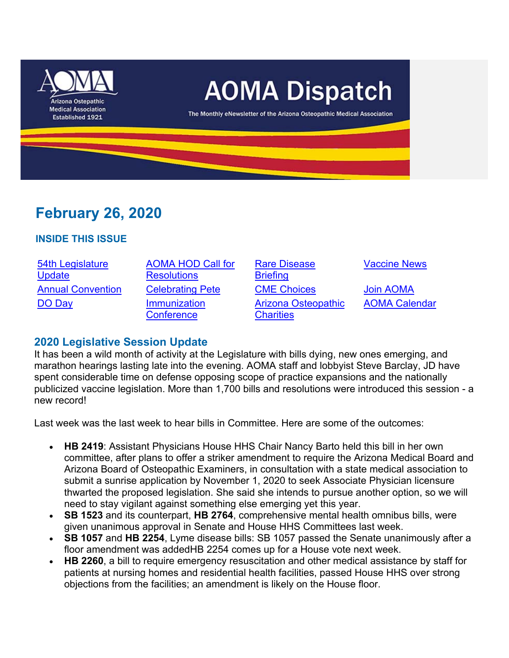

# **February 26, 2020**

#### **INSIDE THIS ISSUE**

54th Legislature **Update** DO Day **Immunization** 

AOMA HOD Call for **Resolutions Conference** 

Rare Disease **Briefing** Annual Convention Celebrating Pete CME Choices Join AOMA Arizona Osteopathic **Charities** 

Vaccine News

AOMA Calendar

### **2020 Legislative Session Update**

It has been a wild month of activity at the Legislature with bills dying, new ones emerging, and marathon hearings lasting late into the evening. AOMA staff and lobbyist Steve Barclay, JD have spent considerable time on defense opposing scope of practice expansions and the nationally publicized vaccine legislation. More than 1,700 bills and resolutions were introduced this session - a new record!

Last week was the last week to hear bills in Committee. Here are some of the outcomes:

- **HB 2419**: Assistant Physicians House HHS Chair Nancy Barto held this bill in her own committee, after plans to offer a striker amendment to require the Arizona Medical Board and Arizona Board of Osteopathic Examiners, in consultation with a state medical association to submit a sunrise application by November 1, 2020 to seek Associate Physician licensure thwarted the proposed legislation. She said she intends to pursue another option, so we will need to stay vigilant against something else emerging yet this year.
- **SB 1523** and its counterpart, **HB 2764**, comprehensive mental health omnibus bills, were given unanimous approval in Senate and House HHS Committees last week.
- **SB 1057** and **HB 2254**, Lyme disease bills: SB 1057 passed the Senate unanimously after a floor amendment was addedHB 2254 comes up for a House vote next week.
- HB 2260, a bill to require emergency resuscitation and other medical assistance by staff for patients at nursing homes and residential health facilities, passed House HHS over strong objections from the facilities; an amendment is likely on the House floor.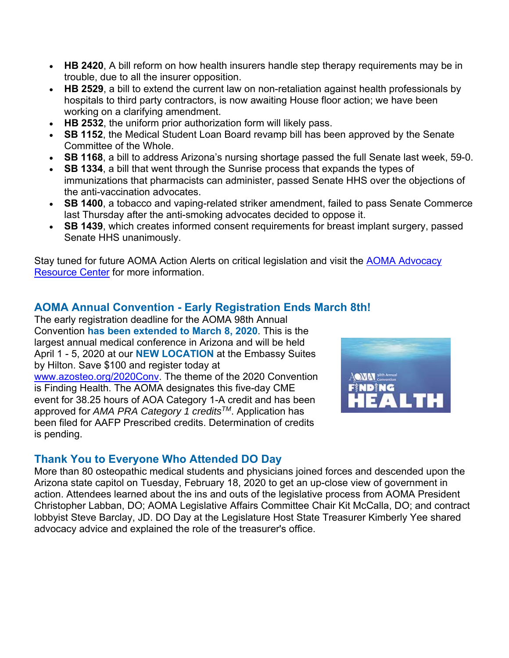- **HB 2420**, A bill reform on how health insurers handle step therapy requirements may be in trouble, due to all the insurer opposition.
- HB 2529, a bill to extend the current law on non-retaliation against health professionals by hospitals to third party contractors, is now awaiting House floor action; we have been working on a clarifying amendment.
- **HB 2532**, the uniform prior authorization form will likely pass.
- **SB 1152**, the Medical Student Loan Board revamp bill has been approved by the Senate Committee of the Whole.
- **SB 1168**, a bill to address Arizona's nursing shortage passed the full Senate last week, 59-0.
- **SB 1334**, a bill that went through the Sunrise process that expands the types of immunizations that pharmacists can administer, passed Senate HHS over the objections of the anti-vaccination advocates.
- **SB 1400**, a tobacco and vaping-related striker amendment, failed to pass Senate Commerce last Thursday after the anti-smoking advocates decided to oppose it.
- **SB 1439**, which creates informed consent requirements for breast implant surgery, passed Senate HHS unanimously.

Stay tuned for future AOMA Action Alerts on critical legislation and visit the AOMA Advocacy Resource Center for more information.

## **AOMA Annual Convention - Early Registration Ends March 8th!**

The early registration deadline for the AOMA 98th Annual Convention **has been extended to March 8, 2020**. This is the largest annual medical conference in Arizona and will be held April 1 - 5, 2020 at our **NEW LOCATION** at the Embassy Suites by Hilton. Save \$100 and register today at www.azosteo.org/2020Conv. The theme of the 2020 Convention is Finding Health. The AOMA designates this five-day CME event for 38.25 hours of AOA Category 1-A credit and has been approved for *AMA PRA Category 1 creditsTM*. Application has been filed for AAFP Prescribed credits. Determination of credits is pending.



### **Thank You to Everyone Who Attended DO Day**

More than 80 osteopathic medical students and physicians joined forces and descended upon the Arizona state capitol on Tuesday, February 18, 2020 to get an up-close view of government in action. Attendees learned about the ins and outs of the legislative process from AOMA President Christopher Labban, DO; AOMA Legislative Affairs Committee Chair Kit McCalla, DO; and contract lobbyist Steve Barclay, JD. DO Day at the Legislature Host State Treasurer Kimberly Yee shared advocacy advice and explained the role of the treasurer's office.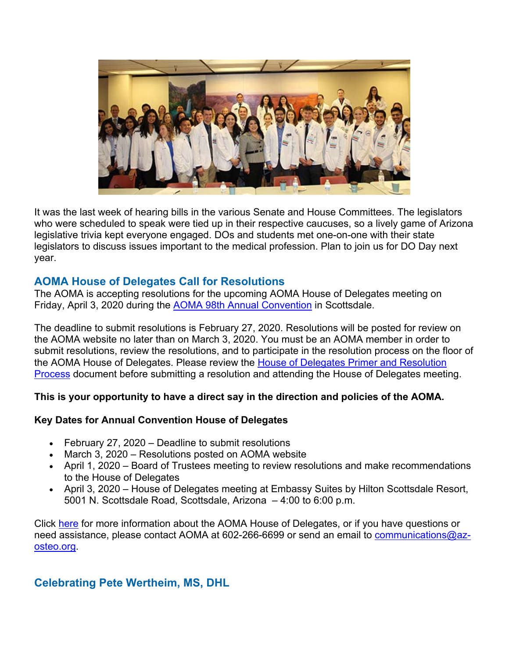

It was the last week of hearing bills in the various Senate and House Committees. The legislators who were scheduled to speak were tied up in their respective caucuses, so a lively game of Arizona legislative trivia kept everyone engaged. DOs and students met one-on-one with their state legislators to discuss issues important to the medical profession. Plan to join us for DO Day next year.

### **AOMA House of Delegates Call for Resolutions**

The AOMA is accepting resolutions for the upcoming AOMA House of Delegates meeting on Friday, April 3, 2020 during the AOMA 98th Annual Convention in Scottsdale.

The deadline to submit resolutions is February 27, 2020. Resolutions will be posted for review on the AOMA website no later than on March 3, 2020. You must be an AOMA member in order to submit resolutions, review the resolutions, and to participate in the resolution process on the floor of the AOMA House of Delegates. Please review the House of Delegates Primer and Resolution Process document before submitting a resolution and attending the House of Delegates meeting.

#### **This is your opportunity to have a direct say in the direction and policies of the AOMA.**

#### **Key Dates for Annual Convention House of Delegates**

- February 27, 2020 Deadline to submit resolutions
- March 3, 2020 Resolutions posted on AOMA website
- April 1, 2020 Board of Trustees meeting to review resolutions and make recommendations to the House of Delegates
- April 3, 2020 House of Delegates meeting at Embassy Suites by Hilton Scottsdale Resort, 5001 N. Scottsdale Road, Scottsdale, Arizona – 4:00 to 6:00 p.m.

Click here for more information about the AOMA House of Delegates, or if you have questions or need assistance, please contact AOMA at 602-266-6699 or send an email to communications@azosteo.org.

### **Celebrating Pete Wertheim, MS, DHL**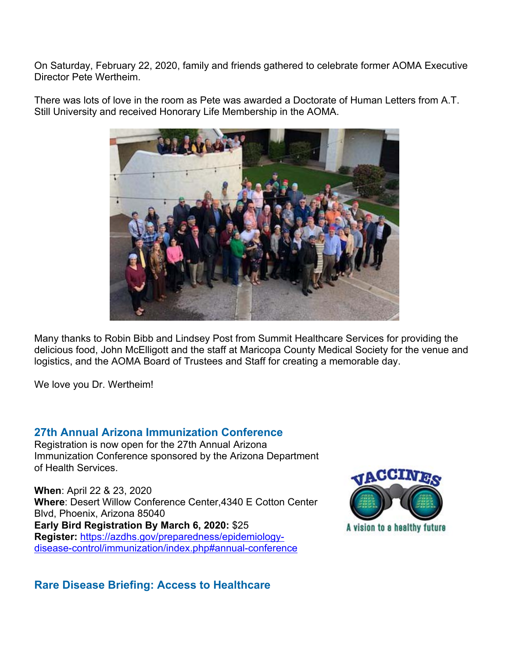On Saturday, February 22, 2020, family and friends gathered to celebrate former AOMA Executive Director Pete Wertheim.

There was lots of love in the room as Pete was awarded a Doctorate of Human Letters from A.T. Still University and received Honorary Life Membership in the AOMA.



Many thanks to Robin Bibb and Lindsey Post from Summit Healthcare Services for providing the delicious food, John McElligott and the staff at Maricopa County Medical Society for the venue and logistics, and the AOMA Board of Trustees and Staff for creating a memorable day.

We love you Dr. Wertheim!

### **27th Annual Arizona Immunization Conference**

Registration is now open for the 27th Annual Arizona Immunization Conference sponsored by the Arizona Department of Health Services.

**When**: April 22 & 23, 2020 **Where**: Desert Willow Conference Center,4340 E Cotton Center Blvd, Phoenix, Arizona 85040 **Early Bird Registration By March 6, 2020:** \$25 **Register:** https://azdhs.gov/preparedness/epidemiologydisease-control/immunization/index.php#annual-conference



**Rare Disease Briefing: Access to Healthcare**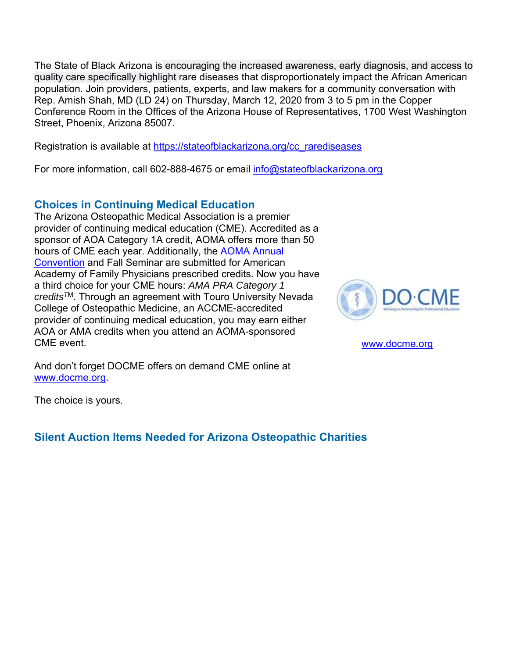The State of Black Arizona is encouraging the increased awareness, early diagnosis, and access to quality care specifically highlight rare diseases that disproportionately impact the African American population. Join providers, patients, experts, and law makers for a community conversation with Rep. Amish Shah, MD (LD 24) on Thursday, March 12, 2020 from 3 to 5 pm in the Copper Conference Room in the Offices of the Arizona House of Representatives, 1700 West Washington Street, Phoenix, Arizona 85007.

Registration is available at https://stateofblackarizona.org/cc\_rarediseases

For more information, call 602-888-4675 or email info@stateofblackarizona.org

## **Choices in Continuing Medical Education**

The Arizona Osteopathic Medical Association is a premier provider of continuing medical education (CME). Accredited as a sponsor of AOA Category 1A credit, AOMA offers more than 50 hours of CME each year. Additionally, the AOMA Annual Convention and Fall Seminar are submitted for American Academy of Family Physicians prescribed credits. Now you have a third choice for your CME hours: *AMA PRA Category 1 creditsT*M. Through an agreement with Touro University Nevada College of Osteopathic Medicine, an ACCME-accredited provider of continuing medical education, you may earn either AOA or AMA credits when you attend an AOMA-sponsored CME event.



www.docme.org

And don't forget DOCME offers on demand CME online at www.docme.org.

The choice is yours.

## **Silent Auction Items Needed for Arizona Osteopathic Charities**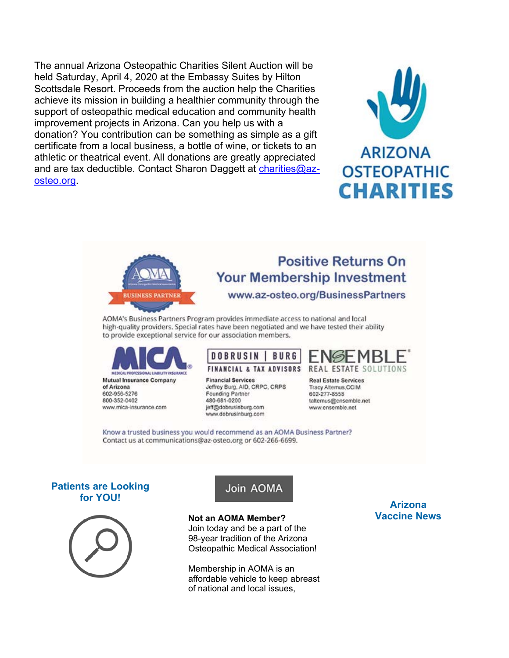The annual Arizona Osteopathic Charities Silent Auction will be held Saturday, April 4, 2020 at the Embassy Suites by Hilton Scottsdale Resort. Proceeds from the auction help the Charities achieve its mission in building a healthier community through the support of osteopathic medical education and community health improvement projects in Arizona. Can you help us with a donation? You contribution can be something as simple as a gift certificate from a local business, a bottle of wine, or tickets to an athletic or theatrical event. All donations are greatly appreciated and are tax deductible. Contact Sharon Daggett at charities@azosteo.org.





# **Positive Returns On Your Membership Investment**

www.az-osteo.org/BusinessPartners

AOMA's Business Partners Program provides immediate access to national and local high-quality providers. Special rates have been negotiated and we have tested their ability to provide exceptional service for our association members.



#### **DOBRUSIN BURG FINANCIAL & TAX ADVISORS**

**Financial Services** Jeffrey Burg, AID, CRPC, CRPS Founding Partner 480-681-0200 jeff@dobrusinburg.com www.dobrusinburg.com



**Real Estate Services** Tracy Alternus.CCIM 602-277-8558 taltemus@ensemble.net www.ensemble.net

Know a trusted business you would recommend as an AOMA Business Partner? Contact us at communications@az-osteo.org or 602-266-6699.

#### **Patients are Looking for YOU!**



# Join AOMA

**Not an AOMA Member?**  Join today and be a part of the 98-year tradition of the Arizona Osteopathic Medical Association!

Membership in AOMA is an affordable vehicle to keep abreast of national and local issues,

**Arizona Vaccine News**